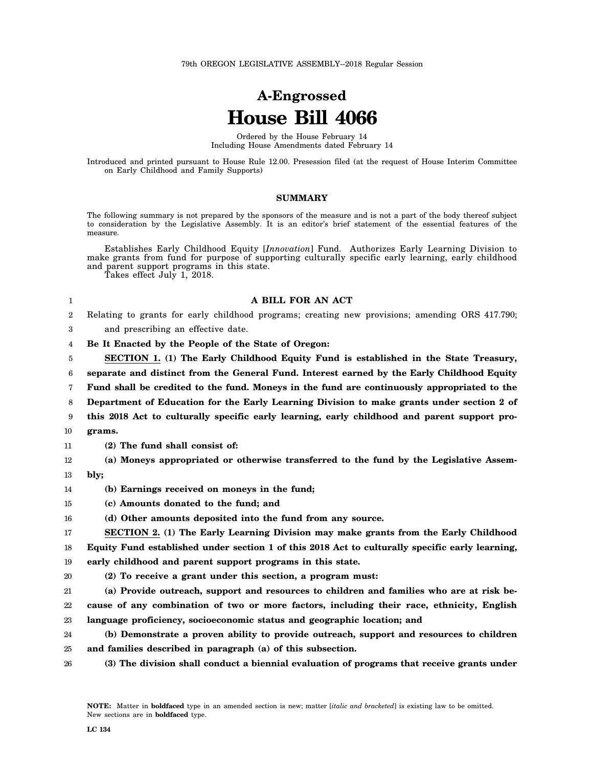## **A-Engrossed House Bill 4066**

Ordered by the House February 14 Including House Amendments dated February 14

Introduced and printed pursuant to House Rule 12.00. Presession filed (at the request of House Interim Committee on Early Childhood and Family Supports)

## **SUMMARY**

The following summary is not prepared by the sponsors of the measure and is not a part of the body thereof subject to consideration by the Legislative Assembly. It is an editor's brief statement of the essential features of the measure.

Establishes Early Childhood Equity [*Innovation*] Fund. Authorizes Early Learning Division to make grants from fund for purpose of supporting culturally specific early learning, early childhood and parent support programs in this state.

Takes effect July 1, 2018.

## **A BILL FOR AN ACT**

2 Relating to grants for early childhood programs; creating new provisions; amending ORS 417.790;

3 and prescribing an effective date.

4 **Be It Enacted by the People of the State of Oregon:**

5 **SECTION 1. (1) The Early Childhood Equity Fund is established in the State Treasury,**

6 **separate and distinct from the General Fund. Interest earned by the Early Childhood Equity**

7 **Fund shall be credited to the fund. Moneys in the fund are continuously appropriated to the**

8 **Department of Education for the Early Learning Division to make grants under section 2 of**

- 9 **this 2018 Act to culturally specific early learning, early childhood and parent support pro-**
- 10 **grams.**

1

- 11 **(2) The fund shall consist of:**
- 12 **(a) Moneys appropriated or otherwise transferred to the fund by the Legislative Assem-**
- 13 **bly;**
- 14 **(b) Earnings received on moneys in the fund;**
- 15 **(c) Amounts donated to the fund; and**

16 **(d) Other amounts deposited into the fund from any source.**

17 18 **SECTION 2. (1) The Early Learning Division may make grants from the Early Childhood Equity Fund established under section 1 of this 2018 Act to culturally specific early learning,**

19 **early childhood and parent support programs in this state.**

- 
- 20 **(2) To receive a grant under this section, a program must:**

21 22 23 **(a) Provide outreach, support and resources to children and families who are at risk because of any combination of two or more factors, including their race, ethnicity, English language proficiency, socioeconomic status and geographic location; and**

- 24 25 **(b) Demonstrate a proven ability to provide outreach, support and resources to children and families described in paragraph (a) of this subsection.**
- 26 **(3) The division shall conduct a biennial evaluation of programs that receive grants under**